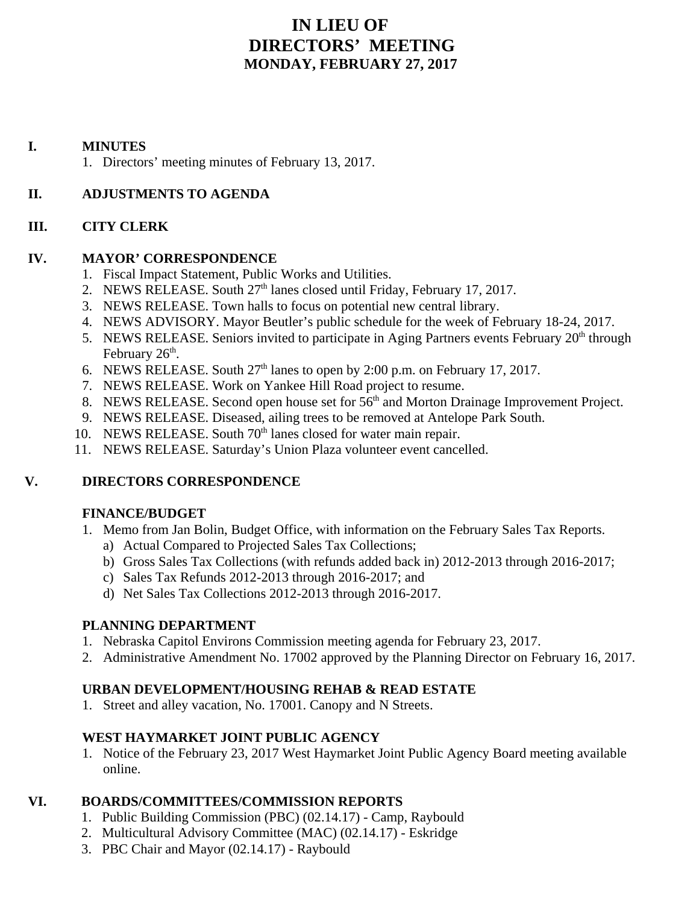# **IN LIEU OF DIRECTORS' MEETING MONDAY, FEBRUARY 27, 2017**

### **I. MINUTES**

1. Directors' meeting minutes of February 13, 2017.

# **II. ADJUSTMENTS TO AGENDA**

# **III. CITY CLERK**

### **IV. MAYOR' CORRESPONDENCE**

- 1. Fiscal Impact Statement, Public Works and Utilities.
- 2. NEWS RELEASE. South  $27<sup>th</sup>$  lanes closed until Friday, February 17, 2017.
- 3. NEWS RELEASE. Town halls to focus on potential new central library.
- 4. NEWS ADVISORY. Mayor Beutler's public schedule for the week of February 18-24, 2017.
- 5. NEWS RELEASE. Seniors invited to participate in Aging Partners events February  $20<sup>th</sup>$  through February  $26<sup>th</sup>$ .
- 6. NEWS RELEASE. South  $27<sup>th</sup>$  lanes to open by 2:00 p.m. on February 17, 2017.
- 7. NEWS RELEASE. Work on Yankee Hill Road project to resume.
- 8. NEWS RELEASE. Second open house set for  $56<sup>th</sup>$  and Morton Drainage Improvement Project.
- 9. NEWS RELEASE. Diseased, ailing trees to be removed at Antelope Park South.
- 10. NEWS RELEASE. South 70<sup>th</sup> lanes closed for water main repair.
- 11. NEWS RELEASE. Saturday's Union Plaza volunteer event cancelled.

# **V. DIRECTORS CORRESPONDENCE**

### **FINANCE/BUDGET**

- 1. Memo from Jan Bolin, Budget Office, with information on the February Sales Tax Reports.
	- a) Actual Compared to Projected Sales Tax Collections;
	- b) Gross Sales Tax Collections (with refunds added back in) 2012-2013 through 2016-2017;
	- c) Sales Tax Refunds 2012-2013 through 2016-2017; and
	- d) Net Sales Tax Collections 2012-2013 through 2016-2017.

# **PLANNING DEPARTMENT**

- 1. Nebraska Capitol Environs Commission meeting agenda for February 23, 2017.
- 2. Administrative Amendment No. 17002 approved by the Planning Director on February 16, 2017.

# **URBAN DEVELOPMENT/HOUSING REHAB & READ ESTATE**

1. Street and alley vacation, No. 17001. Canopy and N Streets.

# **WEST HAYMARKET JOINT PUBLIC AGENCY**

1. Notice of the February 23, 2017 West Haymarket Joint Public Agency Board meeting available online.

# **VI. BOARDS/COMMITTEES/COMMISSION REPORTS**

- 1. Public Building Commission (PBC) (02.14.17) Camp, Raybould
- 2. Multicultural Advisory Committee (MAC) (02.14.17) Eskridge
- 3. PBC Chair and Mayor (02.14.17) Raybould